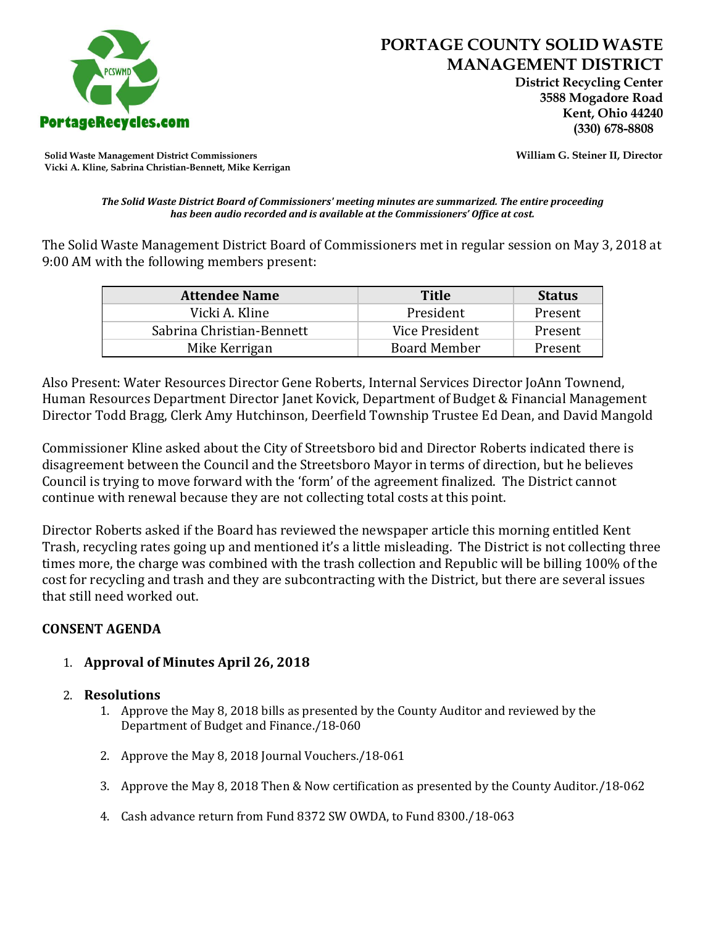

# **PORTAGE COUNTY SOLID WASTE MANAGEMENT DISTRICT**

 **District Recycling Center 3588 Mogadore Road Kent, Ohio 44240**

**Solid Waste Management District Commissioners William G. Steiner II, Director Vicki A. Kline, Sabrina Christian-Bennett, Mike Kerrigan** 

*The Solid Waste District Board of Commissioners' meeting minutes are summarized. The entire proceeding has been audio recorded and is available at the Commissioners' Office at cost.*

The Solid Waste Management District Board of Commissioners met in regular session on May 3, 2018 at 9:00 AM with the following members present:

| <b>Attendee Name</b>      | <b>Title</b>        | <b>Status</b> |
|---------------------------|---------------------|---------------|
| Vicki A. Kline            | President           | Present       |
| Sabrina Christian-Bennett | Vice President      | Present       |
| Mike Kerrigan             | <b>Board Member</b> | Present       |

Also Present: Water Resources Director Gene Roberts, Internal Services Director JoAnn Townend, Human Resources Department Director Janet Kovick, Department of Budget & Financial Management Director Todd Bragg, Clerk Amy Hutchinson, Deerfield Township Trustee Ed Dean, and David Mangold

Commissioner Kline asked about the City of Streetsboro bid and Director Roberts indicated there is disagreement between the Council and the Streetsboro Mayor in terms of direction, but he believes Council is trying to move forward with the 'form' of the agreement finalized. The District cannot continue with renewal because they are not collecting total costs at this point.

Director Roberts asked if the Board has reviewed the newspaper article this morning entitled Kent Trash, recycling rates going up and mentioned it's a little misleading. The District is not collecting three times more, the charge was combined with the trash collection and Republic will be billing 100% of the cost for recycling and trash and they are subcontracting with the District, but there are several issues that still need worked out.

# **CONSENT AGENDA**

- 1. **Approval of Minutes April 26, 2018**
- 2. **Resolutions**
	- 1. Approve the May 8, 2018 bills as presented by the County Auditor and reviewed by the Department of Budget and Finance./18-060
	- 2. Approve the May 8, 2018 Journal Vouchers./18-061
	- 3. Approve the May 8, 2018 Then & Now certification as presented by the County Auditor./18-062
	- 4. Cash advance return from Fund 8372 SW OWDA, to Fund 8300./18-063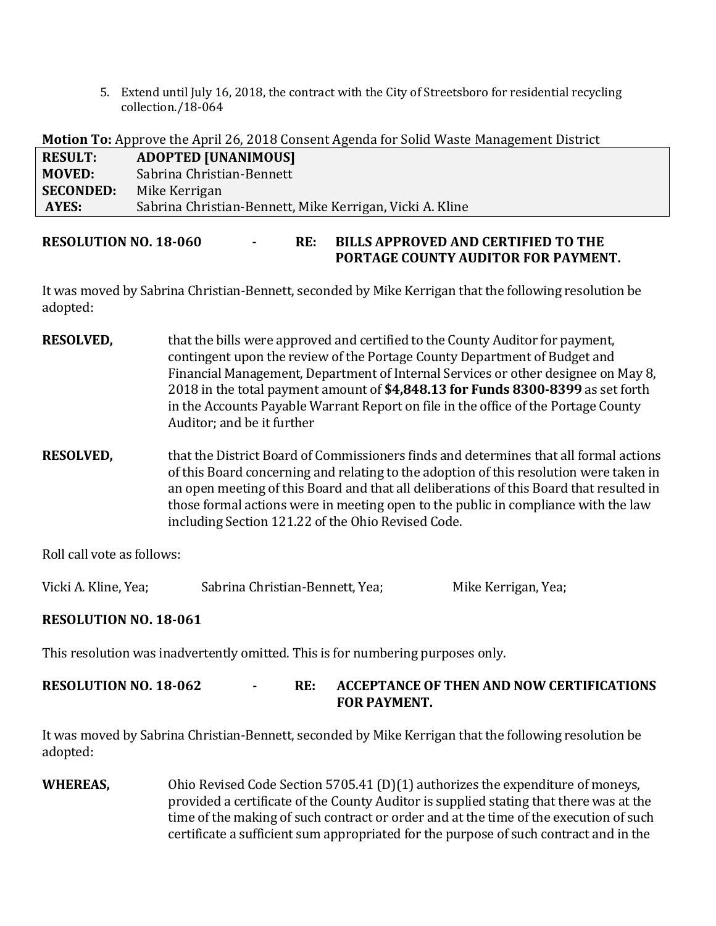5. Extend until July 16, 2018, the contract with the City of Streetsboro for residential recycling collection./18-064

**Motion To:** Approve the April 26, 2018 Consent Agenda for Solid Waste Management District

| <b>RESULT:</b>   | <b>ADOPTED [UNANIMOUS]</b>                               |
|------------------|----------------------------------------------------------|
| <b>MOVED:</b>    | Sabrina Christian-Bennett                                |
| <b>SECONDED:</b> | Mike Kerrigan                                            |
| AYES:            | Sabrina Christian-Bennett, Mike Kerrigan, Vicki A. Kline |

### **RESOLUTION NO. 18-060 - RE: BILLS APPROVED AND CERTIFIED TO THE PORTAGE COUNTY AUDITOR FOR PAYMENT.**

It was moved by Sabrina Christian-Bennett, seconded by Mike Kerrigan that the following resolution be adopted:

- **RESOLVED,** that the bills were approved and certified to the County Auditor for payment, contingent upon the review of the Portage County Department of Budget and Financial Management, Department of Internal Services or other designee on May 8, 2018 in the total payment amount of **\$4,848.13 for Funds 8300-8399** as set forth in the Accounts Payable Warrant Report on file in the office of the Portage County Auditor; and be it further
- **RESOLVED,** that the District Board of Commissioners finds and determines that all formal actions of this Board concerning and relating to the adoption of this resolution were taken in an open meeting of this Board and that all deliberations of this Board that resulted in those formal actions were in meeting open to the public in compliance with the law including Section 121.22 of the Ohio Revised Code.

Roll call vote as follows:

Vicki A. Kline, Yea; Sabrina Christian-Bennett, Yea; Mike Kerrigan, Yea;

# **RESOLUTION NO. 18-061**

This resolution was inadvertently omitted. This is for numbering purposes only.

# **RESOLUTION NO. 18-062 - RE: ACCEPTANCE OF THEN AND NOW CERTIFICATIONS FOR PAYMENT.**

It was moved by Sabrina Christian-Bennett, seconded by Mike Kerrigan that the following resolution be adopted:

**WHEREAS,** Ohio Revised Code Section 5705.41 (D)(1) authorizes the expenditure of moneys, provided a certificate of the County Auditor is supplied stating that there was at the time of the making of such contract or order and at the time of the execution of such certificate a sufficient sum appropriated for the purpose of such contract and in the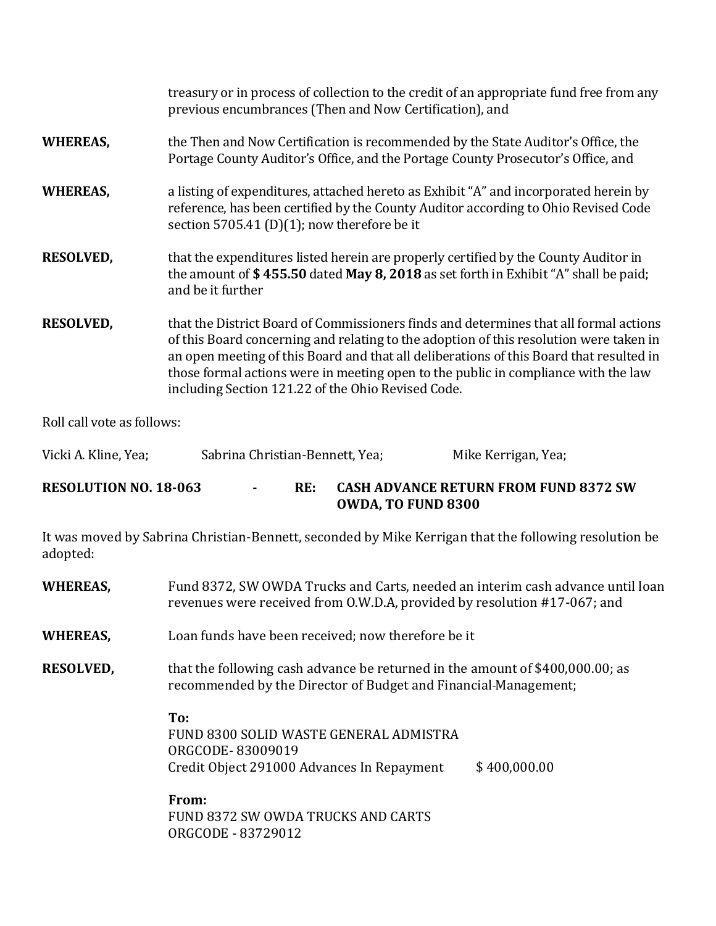|                                                                                                           | treasury or in process of collection to the credit of an appropriate fund free from any<br>previous encumbrances (Then and Now Certification), and                                                                                                                                                                                                                                                                     |                     |  |  |
|-----------------------------------------------------------------------------------------------------------|------------------------------------------------------------------------------------------------------------------------------------------------------------------------------------------------------------------------------------------------------------------------------------------------------------------------------------------------------------------------------------------------------------------------|---------------------|--|--|
| <b>WHEREAS,</b>                                                                                           | the Then and Now Certification is recommended by the State Auditor's Office, the<br>Portage County Auditor's Office, and the Portage County Prosecutor's Office, and                                                                                                                                                                                                                                                   |                     |  |  |
| <b>WHEREAS,</b>                                                                                           | a listing of expenditures, attached hereto as Exhibit "A" and incorporated herein by<br>reference, has been certified by the County Auditor according to Ohio Revised Code<br>section 5705.41 (D)(1); now therefore be it                                                                                                                                                                                              |                     |  |  |
| <b>RESOLVED,</b>                                                                                          | that the expenditures listed herein are properly certified by the County Auditor in<br>the amount of \$455.50 dated May 8, 2018 as set forth in Exhibit "A" shall be paid;<br>and be it further                                                                                                                                                                                                                        |                     |  |  |
| <b>RESOLVED,</b>                                                                                          | that the District Board of Commissioners finds and determines that all formal actions<br>of this Board concerning and relating to the adoption of this resolution were taken in<br>an open meeting of this Board and that all deliberations of this Board that resulted in<br>those formal actions were in meeting open to the public in compliance with the law<br>including Section 121.22 of the Ohio Revised Code. |                     |  |  |
| Roll call vote as follows:                                                                                |                                                                                                                                                                                                                                                                                                                                                                                                                        |                     |  |  |
| Vicki A. Kline, Yea;                                                                                      | Sabrina Christian-Bennett, Yea;                                                                                                                                                                                                                                                                                                                                                                                        | Mike Kerrigan, Yea; |  |  |
| <b>RESOLUTION NO. 18-063</b><br><b>CASH ADVANCE RETURN FROM FUND 8372 SW</b><br>RE:<br>OWDA, TO FUND 8300 |                                                                                                                                                                                                                                                                                                                                                                                                                        |                     |  |  |
| adopted:                                                                                                  | It was moved by Sabrina Christian-Bennett, seconded by Mike Kerrigan that the following resolution be                                                                                                                                                                                                                                                                                                                  |                     |  |  |
| <b>WHEREAS,</b>                                                                                           | Fund 8372, SW OWDA Trucks and Carts, needed an interim cash advance until loan<br>revenues were received from O.W.D.A, provided by resolution #17-067; and                                                                                                                                                                                                                                                             |                     |  |  |

- **WHEREAS,** Loan funds have been received; now therefore be it
- **RESOLVED,** that the following cash advance be returned in the amount of \$400,000.00; as recommended by the Director of Budget and Financial Management;

**To:** FUND 8300 SOLID WASTE GENERAL ADMISTRA ORGCODE- 83009019 Credit Object 291000 Advances In Repayment \$ 400,000.00

**From:** FUND 8372 SW OWDA TRUCKS AND CARTS ORGCODE - 83729012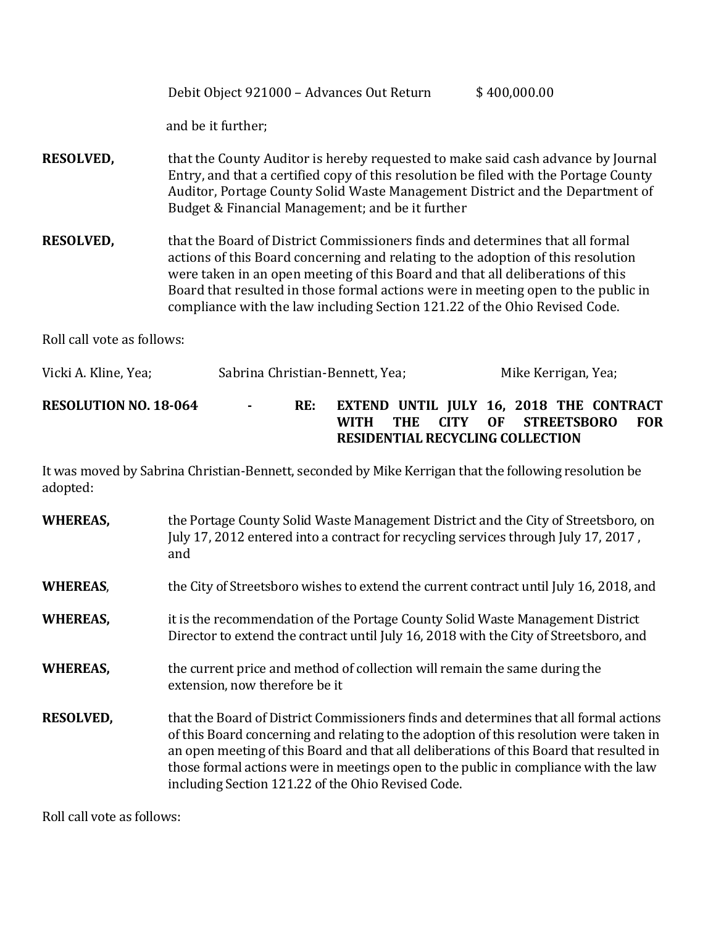| Debit Object 921000 - Advances Out Return | \$400,000.00 |
|-------------------------------------------|--------------|
|-------------------------------------------|--------------|

and be it further;

- **RESOLVED,** that the County Auditor is hereby requested to make said cash advance by Journal Entry, and that a certified copy of this resolution be filed with the Portage County Auditor, Portage County Solid Waste Management District and the Department of Budget & Financial Management; and be it further
- **RESOLVED,** that the Board of District Commissioners finds and determines that all formal actions of this Board concerning and relating to the adoption of this resolution were taken in an open meeting of this Board and that all deliberations of this Board that resulted in those formal actions were in meeting open to the public in compliance with the law including Section 121.22 of the Ohio Revised Code.

Roll call vote as follows:

| Vicki A. Kline, Yea;         | Sabrina Christian-Bennett, Yea; |     |                                                                                                          |                         |  | Mike Kerrigan, Yea; |  |            |
|------------------------------|---------------------------------|-----|----------------------------------------------------------------------------------------------------------|-------------------------|--|---------------------|--|------------|
| <b>RESOLUTION NO. 18-064</b> | $\sim 100$                      | RE: | <b>EXTEND UNTIL JULY 16, 2018 THE CONTRACT</b><br><b>WITH</b><br><b>RESIDENTIAL RECYCLING COLLECTION</b> | THE CITY OF STREETSBORO |  |                     |  | <b>FOR</b> |

It was moved by Sabrina Christian-Bennett, seconded by Mike Kerrigan that the following resolution be adopted:

| <b>WHEREAS,</b>  | the Portage County Solid Waste Management District and the City of Streetsboro, on<br>July 17, 2012 entered into a contract for recycling services through July 17, 2017,<br>and                                                                                                                                                                                                                                        |
|------------------|-------------------------------------------------------------------------------------------------------------------------------------------------------------------------------------------------------------------------------------------------------------------------------------------------------------------------------------------------------------------------------------------------------------------------|
| <b>WHEREAS,</b>  | the City of Streetsboro wishes to extend the current contract until July 16, 2018, and                                                                                                                                                                                                                                                                                                                                  |
| <b>WHEREAS,</b>  | it is the recommendation of the Portage County Solid Waste Management District<br>Director to extend the contract until July 16, 2018 with the City of Streetsboro, and                                                                                                                                                                                                                                                 |
| <b>WHEREAS,</b>  | the current price and method of collection will remain the same during the<br>extension, now therefore be it                                                                                                                                                                                                                                                                                                            |
| <b>RESOLVED,</b> | that the Board of District Commissioners finds and determines that all formal actions<br>of this Board concerning and relating to the adoption of this resolution were taken in<br>an open meeting of this Board and that all deliberations of this Board that resulted in<br>those formal actions were in meetings open to the public in compliance with the law<br>including Section 121.22 of the Ohio Revised Code. |

Roll call vote as follows: